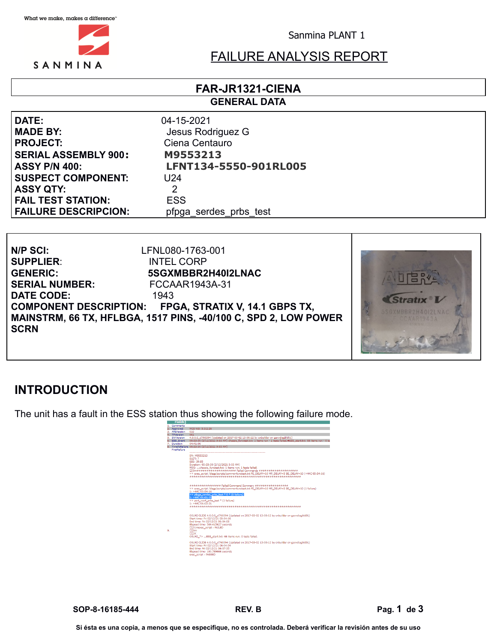

Sanmina PLANT 1

# FAILURE ANALYSIS REPORT

#### **FAR-JR1321-CIENA GENERAL DATA**

**DATE:** 04-15-2021 **MADE BY:** Jesus Rodriguez G **PROJECT:** Ciena Centauro **SERIAL ASSEMBLY 900: M9553213 SUSPECT COMPONENT:** U24 **ASSY QTY:** 2 **FAIL TEST STATION:** ESS **FAILURE DESCRIPCION:** pfpga\_serdes\_prbs\_test

**ASSY P/N 400: LFNT134-5550-901RL005**





# **INTRODUCTION**

The unit has a fault in the ESS station thus showing the following failure mode.



**SOP-8-16185-444 REV. B Pag. 1 de 3**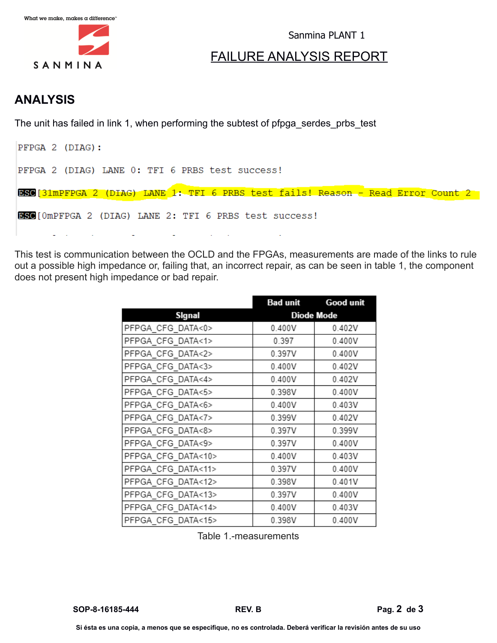

Sanmina PLANT 1

## FAILURE ANALYSIS REPORT

## **ANALYSIS**

The unit has failed in link 1, when performing the subtest of pfpga\_serdes\_prbs\_test

| PFPGA 2 (DIAG):                                                                  |
|----------------------------------------------------------------------------------|
| PFPGA 2 (DIAG) LANE 0: TFI 6 PRBS test success!                                  |
| ESC[31mPFPGA 2 (DIAG) LANE 1: TFI 6 PRBS test fails! Reason - Read Error Count 2 |
| <b>BSC</b> [OmPFPGA 2 (DIAG) LANE 2: TFI 6 PRBS test success!                    |
|                                                                                  |

This test is communication between the OCLD and the FPGAs, measurements are made of the links to rule out a possible high impedance or, failing that, an incorrect repair, as can be seen in table 1, the component does not present high impedance or bad repair.

|                    |        | <b>Bad unit Good unit</b> |  |  |
|--------------------|--------|---------------------------|--|--|
| Signal             |        | <b>Diode Mode</b>         |  |  |
| PFPGA CFG DATA<0>  | 0.400V | 0.402V                    |  |  |
| PFPGA CFG DATA<1>  | 0.397  | 0.400V                    |  |  |
| PFPGA CFG DATA<2>  | 0.397V | 0.400V                    |  |  |
| PFPGA CFG DATA<3>  | 0.400V | 0.402V                    |  |  |
| PFPGA CFG DATA<4>  | 0.400V | 0.402V                    |  |  |
| PFPGA CFG DATA<5>  | 0.398V | 0.400V                    |  |  |
| PFPGA CFG DATA<6>  | 0.400V | 0.403V                    |  |  |
| PFPGA CFG DATA<7>  | 0.399V | 0.402V                    |  |  |
| PFPGA CFG DATA<8>  | 0.397V | 0.399V                    |  |  |
| PFPGA CFG DATA<9>  | 0.397V | 0.400V                    |  |  |
| PFPGA CFG DATA<10> | 0.400V | 0.403V                    |  |  |
| PFPGA_CFG_DATA<11> | 0.397V | 0.400V                    |  |  |
| PFPGA CFG DATA<12> | 0.398V | 0.401V                    |  |  |
| PFPGA CFG DATA<13> | 0.397V | 0.400V                    |  |  |
| PFPGA CFG DATA<14> | 0.400V | 0.403V                    |  |  |
| PFPGA_CFG_DATA<15> | 0.398V | 0.400V                    |  |  |

Table 1.-measurements